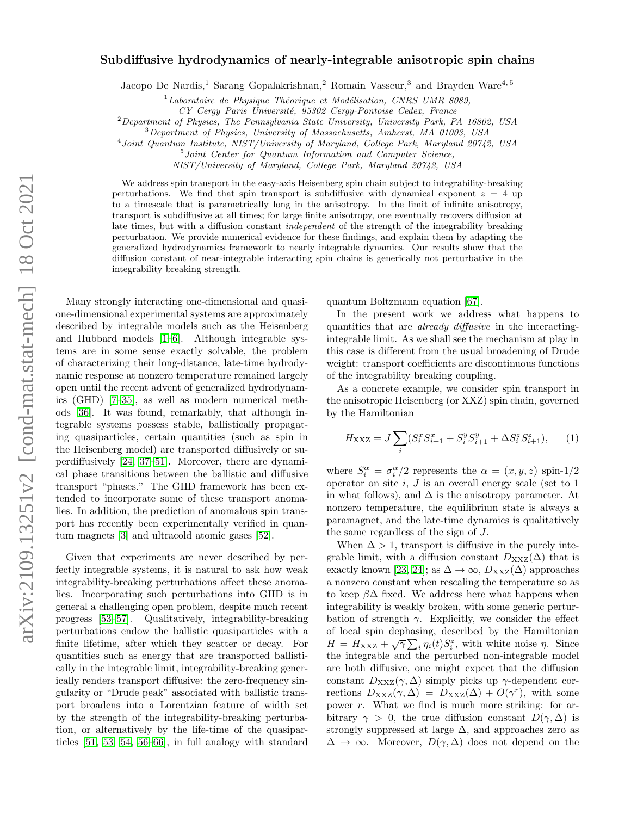## Subdiffusive hydrodynamics of nearly-integrable anisotropic spin chains

Jacopo De Nardis,<sup>1</sup> Sarang Gopalakrishnan,<sup>2</sup> Romain Vasseur,<sup>3</sup> and Brayden Ware<sup>4,5</sup>

 $1$ Laboratoire de Physique Théorique et Modélisation, CNRS UMR 8089,

CY Cergy Paris Université, 95302 Cergy-Pontoise Cedex, France

 $^{2}$ Department of Physics, The Pennsylvania State University, University Park, PA 16802, USA

<sup>3</sup>Department of Physics, University of Massachusetts, Amherst, MA 01003, USA

4 Joint Quantum Institute, NIST/University of Maryland, College Park, Maryland 20742, USA

5 Joint Center for Quantum Information and Computer Science,

NIST/University of Maryland, College Park, Maryland 20742, USA

We address spin transport in the easy-axis Heisenberg spin chain subject to integrability-breaking perturbations. We find that spin transport is subdiffusive with dynamical exponent  $z = 4$  up to a timescale that is parametrically long in the anisotropy. In the limit of infinite anisotropy, transport is subdiffusive at all times; for large finite anisotropy, one eventually recovers diffusion at late times, but with a diffusion constant *independent* of the strength of the integrability breaking perturbation. We provide numerical evidence for these findings, and explain them by adapting the generalized hydrodynamics framework to nearly integrable dynamics. Our results show that the diffusion constant of near-integrable interacting spin chains is generically not perturbative in the integrability breaking strength.

Many strongly interacting one-dimensional and quasione-dimensional experimental systems are approximately described by integrable models such as the Heisenberg and Hubbard models [\[1](#page-4-0)[–6\]](#page-4-1). Although integrable systems are in some sense exactly solvable, the problem of characterizing their long-distance, late-time hydrodynamic response at nonzero temperature remained largely open until the recent advent of generalized hydrodynamics (GHD) [\[7](#page-4-2)[–35\]](#page-4-3), as well as modern numerical methods [\[36\]](#page-4-4). It was found, remarkably, that although integrable systems possess stable, ballistically propagating quasiparticles, certain quantities (such as spin in the Heisenberg model) are transported diffusively or superdiffusively [\[24,](#page-4-5) [37](#page-4-6)[–51\]](#page-5-0). Moreover, there are dynamical phase transitions between the ballistic and diffusive transport "phases." The GHD framework has been extended to incorporate some of these transport anomalies. In addition, the prediction of anomalous spin transport has recently been experimentally verified in quantum magnets [\[3\]](#page-4-7) and ultracold atomic gases [\[52\]](#page-5-1).

Given that experiments are never described by perfectly integrable systems, it is natural to ask how weak integrability-breaking perturbations affect these anomalies. Incorporating such perturbations into GHD is in general a challenging open problem, despite much recent progress [\[53](#page-5-2)[–57\]](#page-5-3). Qualitatively, integrability-breaking perturbations endow the ballistic quasiparticles with a finite lifetime, after which they scatter or decay. For quantities such as energy that are transported ballistically in the integrable limit, integrability-breaking generically renders transport diffusive: the zero-frequency singularity or "Drude peak" associated with ballistic transport broadens into a Lorentzian feature of width set by the strength of the integrability-breaking perturbation, or alternatively by the life-time of the quasiparticles [\[51,](#page-5-0) [53,](#page-5-2) [54,](#page-5-4) [56–](#page-5-5)[66\]](#page-5-6), in full analogy with standard

quantum Boltzmann equation [\[67\]](#page-5-7).

In the present work we address what happens to quantities that are already diffusive in the interactingintegrable limit. As we shall see the mechanism at play in this case is different from the usual broadening of Drude weight: transport coefficients are discontinuous functions of the integrability breaking coupling.

As a concrete example, we consider spin transport in the anisotropic Heisenberg (or XXZ) spin chain, governed by the Hamiltonian

<span id="page-0-0"></span>
$$
H_{\rm XXZ} = J \sum_{i} (S_i^x S_{i+1}^x + S_i^y S_{i+1}^y + \Delta S_i^z S_{i+1}^z), \qquad (1)
$$

where  $S_i^{\alpha} = \sigma_i^{\alpha}/2$  represents the  $\alpha = (x, y, z)$  spin-1/2 operator on site  $i, J$  is an overall energy scale (set to  $1$ in what follows), and  $\Delta$  is the anisotropy parameter. At nonzero temperature, the equilibrium state is always a paramagnet, and the late-time dynamics is qualitatively the same regardless of the sign of J.

When  $\Delta > 1$ , transport is diffusive in the purely integrable limit, with a diffusion constant  $D_{\text{XXZ}}(\Delta)$  that is exactly known [\[23,](#page-4-8) [24\]](#page-4-5); as  $\Delta \to \infty$ ,  $D_{\text{XXZ}}(\Delta)$  approaches a nonzero constant when rescaling the temperature so as to keep  $\beta\Delta$  fixed. We address here what happens when integrability is weakly broken, with some generic perturbation of strength  $\gamma$ . Explicitly, we consider the effect of local spin dephasing, described by the Hamiltonian  $H = H_{\text{XXZ}} + \sqrt{\gamma} \sum_{i} \eta_i(t) S_i^z$ , with white noise  $\eta$ . Since the integrable and the perturbed non-integrable model are both diffusive, one might expect that the diffusion constant  $D_{\text{XXZ}}(\gamma, \Delta)$  simply picks up  $\gamma$ -dependent corrections  $D_{\text{XXZ}}(\gamma, \Delta) = D_{\text{XXZ}}(\Delta) + O(\gamma^r)$ , with some power  $r$ . What we find is much more striking: for arbitrary  $\gamma > 0$ , the true diffusion constant  $D(\gamma, \Delta)$  is strongly suppressed at large  $\Delta$ , and approaches zero as  $\Delta \rightarrow \infty$ . Moreover,  $D(\gamma, \Delta)$  does not depend on the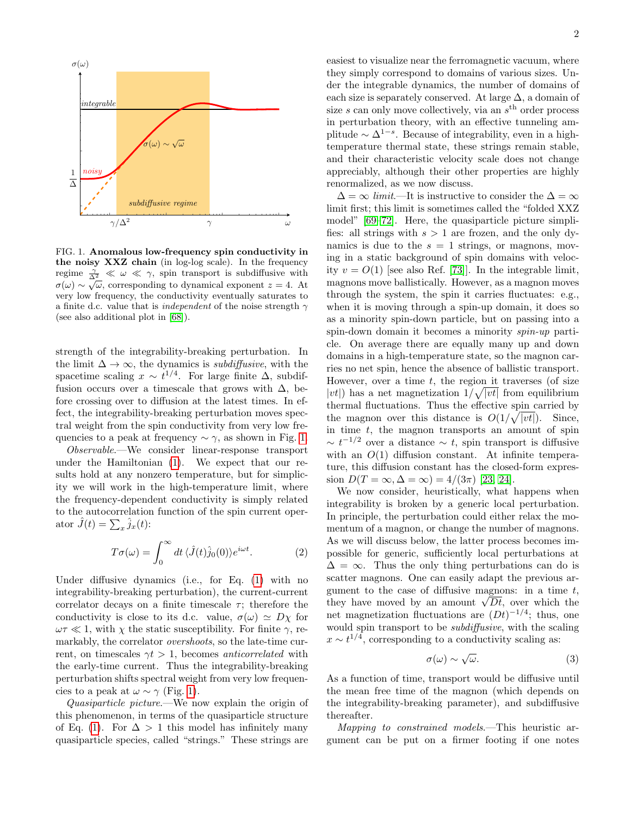

<span id="page-1-0"></span>FIG. 1. Anomalous low-frequency spin conductivity in the noisy XXZ chain (in log-log scale). In the frequency regime  $\frac{\gamma}{\Delta^2} \ll \omega \ll \gamma$ , spin transport is subdiffusive with  $\sigma(\omega) \sim \sqrt{\omega}$ , corresponding to dynamical exponent  $z = 4$ . At very low frequency, the conductivity eventually saturates to a finite d.c. value that is *independent* of the noise strength  $\gamma$ (see also additional plot in [\[68\]](#page-5-8)).

strength of the integrability-breaking perturbation. In the limit  $\Delta \to \infty$ , the dynamics is *subdiffusive*, with the spacetime scaling  $x \sim t^{1/4}$ . For large finite  $\Delta$ , subdiffusion occurs over a timescale that grows with  $\Delta$ , before crossing over to diffusion at the latest times. In effect, the integrability-breaking perturbation moves spectral weight from the spin conductivity from very low frequencies to a peak at frequency  $\sim \gamma$ , as shown in Fig. [1.](#page-1-0)

Observable.—We consider linear-response transport under the Hamiltonian [\(1\)](#page-0-0). We expect that our results hold at any nonzero temperature, but for simplicity we will work in the high-temperature limit, where the frequency-dependent conductivity is simply related to the autocorrelation function of the spin current operator  $\hat{J}(t) = \sum_x \hat{j}_x(t)$ :

$$
T\sigma(\omega) = \int_0^\infty dt \,\langle \hat{J}(t)\hat{j}_0(0)\rangle e^{i\omega t}.\tag{2}
$$

Under diffusive dynamics (i.e., for Eq. [\(1\)](#page-0-0) with no integrability-breaking perturbation), the current-current correlator decays on a finite timescale  $\tau$ ; therefore the conductivity is close to its d.c. value,  $\sigma(\omega) \simeq D\chi$  for  $\omega \tau \ll 1$ , with  $\chi$  the static susceptibility. For finite  $\gamma$ , remarkably, the correlator overshoots, so the late-time current, on timescales  $\gamma t > 1$ , becomes *anticorrelated* with the early-time current. Thus the integrability-breaking perturbation shifts spectral weight from very low frequencies to a peak at  $\omega \sim \gamma$  (Fig. [1\)](#page-1-0).

Quasiparticle picture.—We now explain the origin of this phenomenon, in terms of the quasiparticle structure of Eq. [\(1\)](#page-0-0). For  $\Delta > 1$  this model has infinitely many quasiparticle species, called "strings." These strings are

easiest to visualize near the ferromagnetic vacuum, where they simply correspond to domains of various sizes. Under the integrable dynamics, the number of domains of each size is separately conserved. At large  $\Delta$ , a domain of size  $s$  can only move collectively, via an  $s<sup>th</sup>$  order process in perturbation theory, with an effective tunneling amplitude  $\sim \Delta^{1-s}$ . Because of integrability, even in a hightemperature thermal state, these strings remain stable, and their characteristic velocity scale does not change appreciably, although their other properties are highly renormalized, as we now discuss.

 $\Delta = \infty$  *limit*—It is instructive to consider the  $\Delta = \infty$ limit first; this limit is sometimes called the "folded XXZ model" [\[69](#page-5-9)[–72\]](#page-5-10). Here, the quasiparticle picture simplifies: all strings with  $s > 1$  are frozen, and the only dynamics is due to the  $s = 1$  strings, or magnons, moving in a static background of spin domains with velocity  $v = O(1)$  [see also Ref. [\[73\]](#page-5-11)]. In the integrable limit, magnons move ballistically. However, as a magnon moves through the system, the spin it carries fluctuates: e.g., when it is moving through a spin-up domain, it does so as a minority spin-down particle, but on passing into a spin-down domain it becomes a minority spin-up particle. On average there are equally many up and down domains in a high-temperature state, so the magnon carries no net spin, hence the absence of ballistic transport. However, over a time  $t$ , the region it traverses (of size  $|vt|)$  has a net magnetization  $1/\sqrt{|vt|}$  from equilibrium thermal fluctuations. Thus the effective spin carried by the magnon over this distance is  $O(1/\sqrt{|vt|})$ . Since, in time  $t$ , the magnon transports an amount of spin  $\sim t^{-1/2}$  over a distance  $\sim t$ , spin transport is diffusive with an  $O(1)$  diffusion constant. At infinite temperature, this diffusion constant has the closed-form expression  $D(T = \infty, \Delta = \infty) = 4/(3\pi)$  [\[23,](#page-4-8) [24\]](#page-4-5).

We now consider, heuristically, what happens when integrability is broken by a generic local perturbation. In principle, the perturbation could either relax the momentum of a magnon, or change the number of magnons. As we will discuss below, the latter process becomes impossible for generic, sufficiently local perturbations at  $\Delta = \infty$ . Thus the only thing perturbations can do is scatter magnons. One can easily adapt the previous argument to the case of diffusive magnons: in a time  $t$ , they have moved by an amount  $\sqrt{Dt}$ , over which the net magnetization fluctuations are  $(Dt)^{-1/4}$ ; thus, one would spin transport to be subdiffusive, with the scaling  $x \sim t^{1/4}$ , corresponding to a conductivity scaling as:

$$
\sigma(\omega) \sim \sqrt{\omega}.\tag{3}
$$

As a function of time, transport would be diffusive until the mean free time of the magnon (which depends on the integrability-breaking parameter), and subdiffusive thereafter.

Mapping to constrained models.—This heuristic argument can be put on a firmer footing if one notes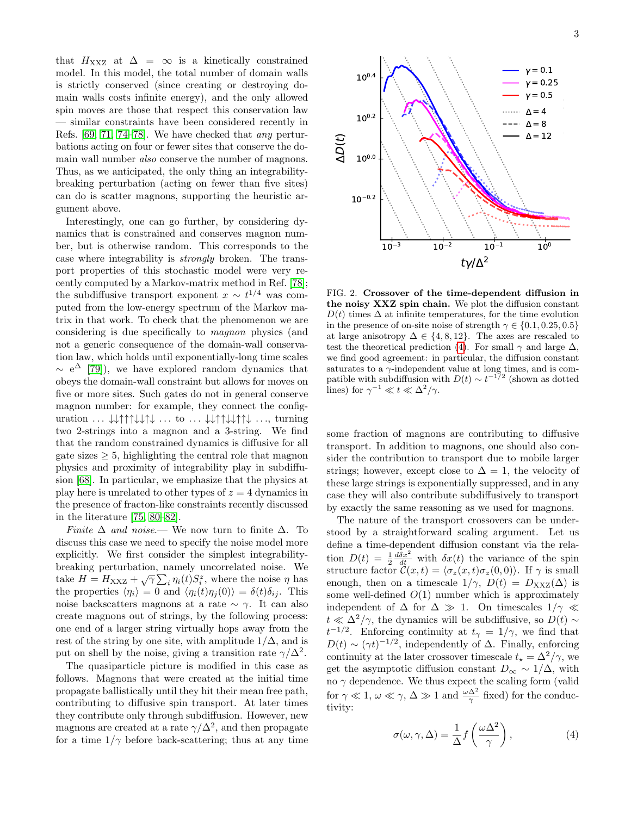that  $H_{\text{XXZ}}$  at  $\Delta = \infty$  is a kinetically constrained model. In this model, the total number of domain walls is strictly conserved (since creating or destroying domain walls costs infinite energy), and the only allowed spin moves are those that respect this conservation law — similar constraints have been considered recently in Refs. [\[69,](#page-5-9) [71,](#page-5-12) [74](#page-5-13)[–78\]](#page-5-14). We have checked that any perturbations acting on four or fewer sites that conserve the domain wall number also conserve the number of magnons. Thus, as we anticipated, the only thing an integrabilitybreaking perturbation (acting on fewer than five sites) can do is scatter magnons, supporting the heuristic argument above.

Interestingly, one can go further, by considering dynamics that is constrained and conserves magnon number, but is otherwise random. This corresponds to the case where integrability is strongly broken. The transport properties of this stochastic model were very recently computed by a Markov-matrix method in Ref. [\[78\]](#page-5-14); the subdiffusive transport exponent  $x \sim t^{1/4}$  was computed from the low-energy spectrum of the Markov matrix in that work. To check that the phenomenon we are considering is due specifically to magnon physics (and not a generic consequence of the domain-wall conservation law, which holds until exponentially-long time scales  $\sim$  e<sup> $\Delta$ </sup> [\[79\]](#page-5-15)), we have explored random dynamics that obeys the domain-wall constraint but allows for moves on five or more sites. Such gates do not in general conserve magnon number: for example, they connect the configuration  $\ldots \downarrow \downarrow \uparrow \uparrow \uparrow \downarrow \downarrow \uparrow \downarrow \ldots$  to  $\ldots \downarrow \downarrow \uparrow \uparrow \downarrow \downarrow \uparrow \uparrow \downarrow \ldots$ , turning two 2-strings into a magnon and a 3-string. We find that the random constrained dynamics is diffusive for all gate sizes  $\geq 5$ , highlighting the central role that magnon physics and proximity of integrability play in subdiffusion [\[68\]](#page-5-8). In particular, we emphasize that the physics at play here is unrelated to other types of  $z = 4$  dynamics in the presence of fracton-like constraints recently discussed in the literature [\[75,](#page-5-16) [80](#page-5-17)[–82\]](#page-5-18).

Finite  $\Delta$  and noise.— We now turn to finite  $\Delta$ . To discuss this case we need to specify the noise model more explicitly. We first consider the simplest integrabilitybreaking perturbation, namely uncorrelated noise. We take  $H = H_{\text{XXZ}} + \sqrt{\gamma} \sum_i \eta_i(t) S_i^z$ , where the noise  $\eta$  has the properties  $\langle \eta_i \rangle = 0$  and  $\langle \eta_i(t) \eta_j(0) \rangle = \delta(t) \delta_{ij}$ . This noise backscatters magnons at a rate  $\sim \gamma$ . It can also create magnons out of strings, by the following process: one end of a larger string virtually hops away from the rest of the string by one site, with amplitude  $1/\Delta$ , and is put on shell by the noise, giving a transition rate  $\gamma/\Delta^2$ .

The quasiparticle picture is modified in this case as follows. Magnons that were created at the initial time propagate ballistically until they hit their mean free path, contributing to diffusive spin transport. At later times they contribute only through subdiffusion. However, new magnons are created at a rate  $\gamma/\Delta^2$ , and then propagate for a time  $1/\gamma$  before back-scattering; thus at any time



<span id="page-2-1"></span>FIG. 2. Crossover of the time-dependent diffusion in the noisy XXZ spin chain. We plot the diffusion constant  $D(t)$  times  $\Delta$  at infinite temperatures, for the time evolution in the presence of on-site noise of strength  $\gamma \in \{0.1, 0.25, 0.5\}$ at large anisotropy  $\Delta \in \{4, 8, 12\}$ . The axes are rescaled to test the theoretical prediction [\(4\)](#page-2-0). For small  $\gamma$  and large  $\Delta$ , we find good agreement: in particular, the diffusion constant saturates to a  $\gamma$ -independent value at long times, and is compatible with subdiffusion with  $D(t) \sim t^{-1/2}$  (shown as dotted lines) for  $\gamma^{-1} \ll t \ll \Delta^2/\gamma$ .

some fraction of magnons are contributing to diffusive transport. In addition to magnons, one should also consider the contribution to transport due to mobile larger strings; however, except close to  $\Delta = 1$ , the velocity of these large strings is exponentially suppressed, and in any case they will also contribute subdiffusively to transport by exactly the same reasoning as we used for magnons.

The nature of the transport crossovers can be understood by a straightforward scaling argument. Let us define a time-dependent diffusion constant via the relation  $D(t) = \frac{1}{2} \frac{d\delta x^2}{dt}$  with  $\delta x(t)$  the variance of the spin structure factor  $\mathcal{C}(x, t) = \langle \sigma_z(x, t) \sigma_z(0, 0) \rangle$ . If  $\gamma$  is small enough, then on a timescale  $1/\gamma$ ,  $D(t) = D_{\text{XXZ}}(\Delta)$  is some well-defined  $O(1)$  number which is approximately independent of  $\Delta$  for  $\Delta \gg 1$ . On timescales  $1/\gamma \ll 1$  $t \ll \Delta^2/\gamma$ , the dynamics will be subdiffusive, so  $D(t) \sim$  $t^{-1/2}$ . Enforcing continuity at  $t_{\gamma} = 1/\gamma$ , we find that  $D(t) \sim (\gamma t)^{-1/2}$ , independently of  $\Delta$ . Finally, enforcing continuity at the later crossover timescale  $t_{\star} = \Delta^2/\gamma$ , we get the asymptotic diffusion constant  $D_{\infty} \sim 1/\Delta$ , with no  $\gamma$  dependence. We thus expect the scaling form (valid for  $\gamma \ll 1, \omega \ll \gamma, \Delta \gg 1$  and  $\frac{\omega \Delta^2}{\gamma}$  fixed) for the conductivity:

<span id="page-2-0"></span>
$$
\sigma(\omega, \gamma, \Delta) = \frac{1}{\Delta} f\left(\frac{\omega \Delta^2}{\gamma}\right),\tag{4}
$$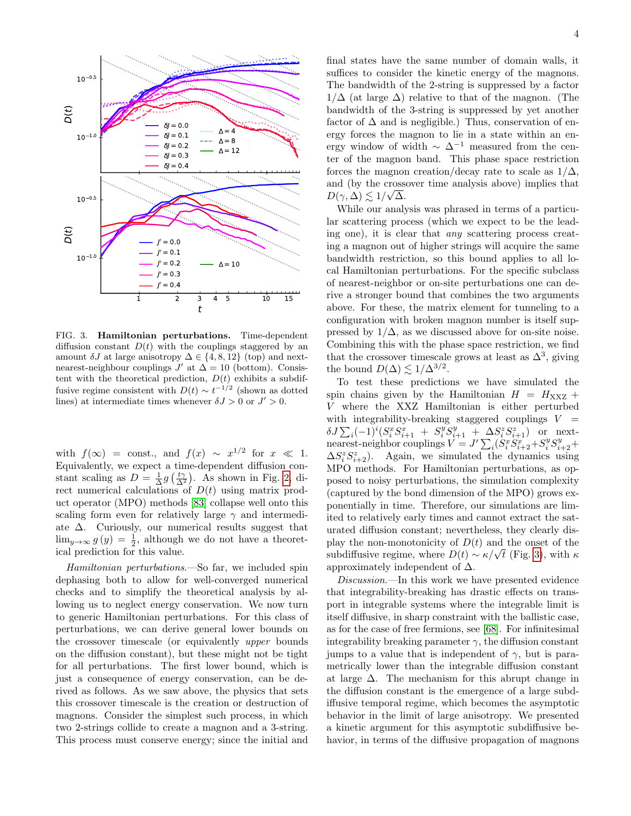

<span id="page-3-0"></span>FIG. 3. Hamiltonian perturbations. Time-dependent diffusion constant  $D(t)$  with the couplings staggered by an amount  $\delta J$  at large anisotropy  $\Delta \in \{4, 8, 12\}$  (top) and nextnearest-neighbour couplings  $J'$  at  $\Delta = 10$  (bottom). Consistent with the theoretical prediction,  $D(t)$  exhibits a subdiffusive regime consistent with  $D(t) \sim t^{-1/2}$  (shown as dotted lines) at intermediate times whenever  $\delta J > 0$  or  $J' > 0$ .

with  $f(\infty) = \text{const.}$ , and  $f(x) \sim x^{1/2}$  for  $x \ll 1$ . Equivalently, we expect a time-dependent diffusion constant scaling as  $D = \frac{1}{\Delta}g(\frac{t\gamma}{\Delta^2})$ . As shown in Fig. [2,](#page-2-1) direct numerical calculations of  $D(t)$  using matrix product operator (MPO) methods [\[83\]](#page-5-19) collapse well onto this scaling form even for relatively large  $\gamma$  and intermediate  $\Delta$ . Curiously, our numerical results suggest that  $\lim_{y\to\infty} g(y) = \frac{1}{2}$ , although we do not have a theoretical prediction for this value.

Hamiltonian perturbations.—So far, we included spin dephasing both to allow for well-converged numerical checks and to simplify the theoretical analysis by allowing us to neglect energy conservation. We now turn to generic Hamiltonian perturbations. For this class of perturbations, we can derive general lower bounds on the crossover timescale (or equivalently upper bounds on the diffusion constant), but these might not be tight for all perturbations. The first lower bound, which is just a consequence of energy conservation, can be derived as follows. As we saw above, the physics that sets this crossover timescale is the creation or destruction of magnons. Consider the simplest such process, in which two 2-strings collide to create a magnon and a 3-string. This process must conserve energy; since the initial and

final states have the same number of domain walls, it suffices to consider the kinetic energy of the magnons. The bandwidth of the 2-string is suppressed by a factor  $1/\Delta$  (at large  $\Delta$ ) relative to that of the magnon. (The bandwidth of the 3-string is suppressed by yet another factor of  $\Delta$  and is negligible.) Thus, conservation of energy forces the magnon to lie in a state within an energy window of width  $\sim \Delta^{-1}$  measured from the center of the magnon band. This phase space restriction forces the magnon creation/decay rate to scale as  $1/\Delta$ , and (by the crossover time analysis above) implies that  $D(\gamma, \Delta) \lesssim 1/\sqrt{\Delta}.$ 

While our analysis was phrased in terms of a particular scattering process (which we expect to be the leading one), it is clear that any scattering process creating a magnon out of higher strings will acquire the same bandwidth restriction, so this bound applies to all local Hamiltonian perturbations. For the specific subclass of nearest-neighbor or on-site perturbations one can derive a stronger bound that combines the two arguments above. For these, the matrix element for tunneling to a configuration with broken magnon number is itself suppressed by  $1/\Delta$ , as we discussed above for on-site noise. Combining this with the phase space restriction, we find that the crossover timescale grows at least as  $\Delta^3$ , giving the bound  $D(\Delta) \lesssim 1/\Delta^{3/2}$ .

To test these predictions we have simulated the spin chains given by the Hamiltonian  $H = H_{\text{XXZ}} +$ V where the XXZ Hamiltonian is either perturbed with integrability-breaking staggered couplings  $V =$  $\delta J \sum_i (-1)^i (S_i^x S_{i+1}^x + S_i^y S_{i+1}^y + \Delta S_i^z S_{i+1}^z)$  or nextnearest-neighbor couplings  $V = J' \sum_i (S_i^x S_{i+2}^x + S_i^y S_{i+2}^y +$  $\Delta S_i^z S_{i+2}^z$ ). Again, we simulated the dynamics using MPO methods. For Hamiltonian perturbations, as opposed to noisy perturbations, the simulation complexity (captured by the bond dimension of the MPO) grows exponentially in time. Therefore, our simulations are limited to relatively early times and cannot extract the saturated diffusion constant; nevertheless, they clearly display the non-monotonicity of  $D(t)$  and the onset of the subdiffusive regime, where  $D(t) \sim \kappa / \sqrt{t}$  (Fig. [3\)](#page-3-0), with  $\kappa$ approximately independent of  $\Delta$ .

Discussion.—In this work we have presented evidence that integrability-breaking has drastic effects on transport in integrable systems where the integrable limit is itself diffusive, in sharp constraint with the ballistic case, as for the case of free fermions, see [\[68\]](#page-5-8). For infinitesimal integrability breaking parameter  $\gamma$ , the diffusion constant jumps to a value that is independent of  $\gamma$ , but is parametrically lower than the integrable diffusion constant at large  $\Delta$ . The mechanism for this abrupt change in the diffusion constant is the emergence of a large subdiffusive temporal regime, which becomes the asymptotic behavior in the limit of large anisotropy. We presented a kinetic argument for this asymptotic subdiffusive behavior, in terms of the diffusive propagation of magnons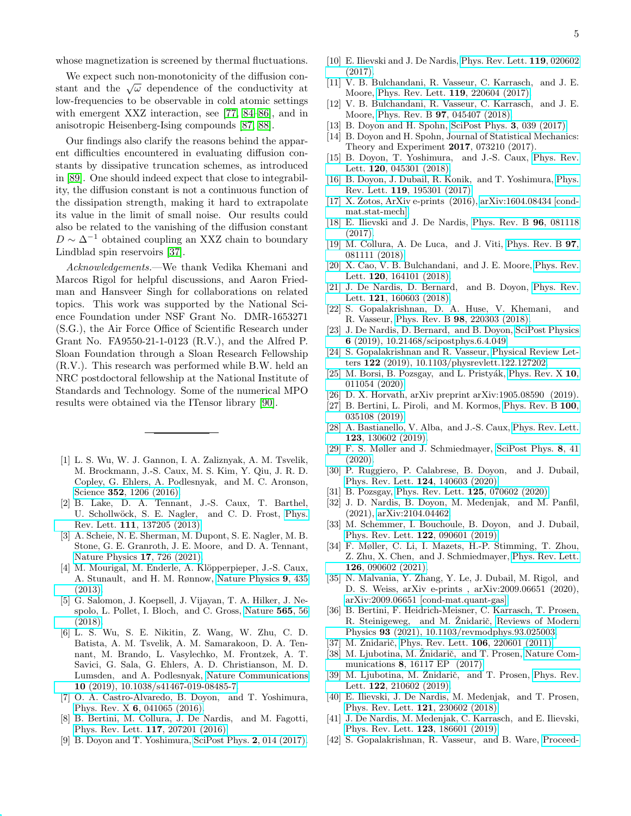whose magnetization is screened by thermal fluctuations.

We expect such non-monotonicity of the diffusion constant and the  $\sqrt{\omega}$  dependence of the conductivity at low-frequencies to be observable in cold atomic settings with emergent XXZ interaction, see [\[77,](#page-5-20) [84–](#page-5-21)[86\]](#page-5-22), and in anisotropic Heisenberg-Ising compounds [\[87,](#page-5-23) [88\]](#page-5-24).

Our findings also clarify the reasons behind the apparent difficulties encountered in evaluating diffusion constants by dissipative truncation schemes, as introduced in [\[89\]](#page-5-25). One should indeed expect that close to integrability, the diffusion constant is not a continuous function of the dissipation strength, making it hard to extrapolate its value in the limit of small noise. Our results could also be related to the vanishing of the diffusion constant  $D \sim \Delta^{-1}$  obtained coupling an XXZ chain to boundary Lindblad spin reservoirs [\[37\]](#page-4-6).

Acknowledgements.—We thank Vedika Khemani and Marcos Rigol for helpful discussions, and Aaron Friedman and Hansveer Singh for collaborations on related topics. This work was supported by the National Science Foundation under NSF Grant No. DMR-1653271 (S.G.), the Air Force Office of Scientific Research under Grant No. FA9550-21-1-0123 (R.V.), and the Alfred P. Sloan Foundation through a Sloan Research Fellowship (R.V.). This research was performed while B.W. held an NRC postdoctoral fellowship at the National Institute of Standards and Technology. Some of the numerical MPO results were obtained via the ITensor library [\[90\]](#page-5-26).

- <span id="page-4-0"></span>[1] L. S. Wu, W. J. Gannon, I. A. Zaliznyak, A. M. Tsvelik, M. Brockmann, J.-S. Caux, M. S. Kim, Y. Qiu, J. R. D. Copley, G. Ehlers, A. Podlesnyak, and M. C. Aronson, Science 352[, 1206 \(2016\).](http://dx.doi.org/10.1126/science.aaf0981)
- [2] B. Lake, D. A. Tennant, J.-S. Caux, T. Barthel, U. Schollwöck, S. E. Nagler, and C. D. Frost, [Phys.](http://dx.doi.org/ 10.1103/PhysRevLett.111.137205) Rev. Lett. 111[, 137205 \(2013\).](http://dx.doi.org/ 10.1103/PhysRevLett.111.137205)
- <span id="page-4-7"></span>[3] A. Scheie, N. E. Sherman, M. Dupont, S. E. Nagler, M. B. Stone, G. E. Granroth, J. E. Moore, and D. A. Tennant, [Nature Physics](http://dx.doi.org/ 10.1038/s41567-021-01191-6) 17, 726 (2021).
- [4] M. Mourigal, M. Enderle, A. Klöpperpieper, J.-S. Caux, A. Stunault, and H. M. Rønnow, [Nature Physics](http://dx.doi.org/ 10.1038/nphys2652) 9, 435 [\(2013\).](http://dx.doi.org/ 10.1038/nphys2652)
- [5] G. Salomon, J. Koepsell, J. Vijayan, T. A. Hilker, J. Nespolo, L. Pollet, I. Bloch, and C. Gross, [Nature](http://dx.doi.org/10.1038/s41586-018-0778-7) 565, 56 [\(2018\).](http://dx.doi.org/10.1038/s41586-018-0778-7)
- <span id="page-4-1"></span>[6] L. S. Wu, S. E. Nikitin, Z. Wang, W. Zhu, C. D. Batista, A. M. Tsvelik, A. M. Samarakoon, D. A. Tennant, M. Brando, L. Vasylechko, M. Frontzek, A. T. Savici, G. Sala, G. Ehlers, A. D. Christianson, M. D. Lumsden, and A. Podlesnyak, [Nature Communications](http://dx.doi.org/ 10.1038/s41467-019-08485-7) 10 [\(2019\), 10.1038/s41467-019-08485-7.](http://dx.doi.org/ 10.1038/s41467-019-08485-7)
- <span id="page-4-2"></span>[7] O. A. Castro-Alvaredo, B. Doyon, and T. Yoshimura, Phys. Rev. X 6[, 041065 \(2016\).](http://dx.doi.org/10.1103/PhysRevX.6.041065)
- [8] B. Bertini, M. Collura, J. De Nardis, and M. Fagotti, [Phys. Rev. Lett.](http://dx.doi.org/10.1103/PhysRevLett.117.207201) 117, 207201 (2016).
- [9] B. Doyon and T. Yoshimura, [SciPost Phys.](http://dx.doi.org/10.21468/SciPostPhys.2.2.014) 2, 014 (2017).
- [10] E. Ilievski and J. De Nardis, [Phys. Rev. Lett.](http://dx.doi.org/10.1103/PhysRevLett.119.020602) 119, 020602 [\(2017\).](http://dx.doi.org/10.1103/PhysRevLett.119.020602)
- [11] V. B. Bulchandani, R. Vasseur, C. Karrasch, and J. E. Moore, [Phys. Rev. Lett.](http://dx.doi.org/10.1103/PhysRevLett.119.220604) 119, 220604 (2017).
- [12] V. B. Bulchandani, R. Vasseur, C. Karrasch, and J. E. Moore, Phys. Rev. B 97[, 045407 \(2018\).](http://dx.doi.org/10.1103/PhysRevB.97.045407)
- [13] B. Doyon and H. Spohn, [SciPost Phys.](http://dx.doi.org/10.21468/SciPostPhys.3.6.039) 3, 039 (2017).
- [14] B. Doyon and H. Spohn, Journal of Statistical Mechanics: Theory and Experiment 2017, 073210 (2017).
- [15] B. Doyon, T. Yoshimura, and J.-S. Caux, [Phys. Rev.](http://dx.doi.org/10.1103/PhysRevLett.120.045301) Lett. 120[, 045301 \(2018\).](http://dx.doi.org/10.1103/PhysRevLett.120.045301)
- [16] B. Doyon, J. Dubail, R. Konik, and T. Yoshimura, [Phys.](http://dx.doi.org/ 10.1103/PhysRevLett.119.195301) Rev. Lett. 119[, 195301 \(2017\).](http://dx.doi.org/ 10.1103/PhysRevLett.119.195301)
- [17] X. Zotos, ArXiv e-prints (2016), [arXiv:1604.08434 \[cond](http://arxiv.org/abs/1604.08434)[mat.stat-mech\].](http://arxiv.org/abs/1604.08434)
- [18] E. Ilievski and J. De Nardis, [Phys. Rev. B](http://dx.doi.org/10.1103/PhysRevB.96.081118) 96, 081118 [\(2017\).](http://dx.doi.org/10.1103/PhysRevB.96.081118)
- [19] M. Collura, A. De Luca, and J. Viti, [Phys. Rev. B](http://dx.doi.org/10.1103/PhysRevB.97.081111) 97, [081111 \(2018\).](http://dx.doi.org/10.1103/PhysRevB.97.081111)
- [20] X. Cao, V. B. Bulchandani, and J. E. Moore, [Phys. Rev.](http://dx.doi.org/10.1103/PhysRevLett.120.164101) Lett. **120**[, 164101 \(2018\).](http://dx.doi.org/10.1103/PhysRevLett.120.164101)
- [21] J. De Nardis, D. Bernard, and B. Doyon, [Phys. Rev.](http://dx.doi.org/10.1103/PhysRevLett.121.160603) Lett. **121**[, 160603 \(2018\).](http://dx.doi.org/10.1103/PhysRevLett.121.160603)
- [22] S. Gopalakrishnan, D. A. Huse, V. Khemani, and R. Vasseur, Phys. Rev. B 98[, 220303 \(2018\).](http://dx.doi.org/10.1103/PhysRevB.98.220303)
- <span id="page-4-8"></span>[23] J. De Nardis, D. Bernard, and B. Doyon, [SciPost Physics](http://dx.doi.org/10.21468/scipostphys.6.4.049) 6 [\(2019\), 10.21468/scipostphys.6.4.049.](http://dx.doi.org/10.21468/scipostphys.6.4.049)
- <span id="page-4-5"></span>[24] S. Gopalakrishnan and R. Vasseur, [Physical Review Let](http://dx.doi.org/10.1103/physrevlett.122.127202)ters 122 [\(2019\), 10.1103/physrevlett.122.127202.](http://dx.doi.org/10.1103/physrevlett.122.127202)
- [25] M. Borsi, B. Pozsgay, and L. Pristyák, [Phys. Rev. X](http://dx.doi.org/10.1103/PhysRevX.10.011054) 10, [011054 \(2020\).](http://dx.doi.org/10.1103/PhysRevX.10.011054)
- [26] D. X. Horvath, arXiv preprint arXiv:1905.08590 (2019).
- [27] B. Bertini, L. Piroli, and M. Kormos, [Phys. Rev. B](http://dx.doi.org/10.1103/PhysRevB.100.035108) 100, [035108 \(2019\).](http://dx.doi.org/10.1103/PhysRevB.100.035108)
- [28] A. Bastianello, V. Alba, and J.-S. Caux, [Phys. Rev. Lett.](http://dx.doi.org/10.1103/PhysRevLett.123.130602) 123[, 130602 \(2019\).](http://dx.doi.org/10.1103/PhysRevLett.123.130602)
- [29] F. S. Møller and J. Schmiedmayer, [SciPost Phys.](http://dx.doi.org/10.21468/SciPostPhys.8.3.041) 8, 41 [\(2020\).](http://dx.doi.org/10.21468/SciPostPhys.8.3.041)
- [30] P. Ruggiero, P. Calabrese, B. Doyon, and J. Dubail, [Phys. Rev. Lett.](http://dx.doi.org/ 10.1103/PhysRevLett.124.140603) 124, 140603 (2020).
- [31] B. Pozsgay, [Phys. Rev. Lett.](http://dx.doi.org/10.1103/PhysRevLett.125.070602) 125, 070602 (2020).
- [32] J. D. Nardis, B. Doyon, M. Medenjak, and M. Panfil, (2021), [arXiv:2104.04462.](http://arxiv.org/abs/arXiv:2104.04462)
- [33] M. Schemmer, I. Bouchoule, B. Doyon, and J. Dubail, [Phys. Rev. Lett.](http://dx.doi.org/ 10.1103/PhysRevLett.122.090601) 122, 090601 (2019).
- [34] F. Møller, C. Li, I. Mazets, H.-P. Stimming, T. Zhou, Z. Zhu, X. Chen, and J. Schmiedmayer, [Phys. Rev. Lett.](http://dx.doi.org/10.1103/PhysRevLett.126.090602) 126[, 090602 \(2021\).](http://dx.doi.org/10.1103/PhysRevLett.126.090602)
- <span id="page-4-3"></span>[35] N. Malvania, Y. Zhang, Y. Le, J. Dubail, M. Rigol, and D. S. Weiss, arXiv e-prints , arXiv:2009.06651 (2020), [arXiv:2009.06651 \[cond-mat.quant-gas\].](http://arxiv.org/abs/2009.06651)
- <span id="page-4-4"></span>[36] B. Bertini, F. Heidrich-Meisner, C. Karrasch, T. Prosen, R. Steinigeweg, and M. Znidarič, [Reviews of Modern](http://dx.doi.org/10.1103/revmodphys.93.025003) Physics 93 [\(2021\), 10.1103/revmodphys.93.025003.](http://dx.doi.org/10.1103/revmodphys.93.025003)
- <span id="page-4-6"></span>[37] M. Žnidarič, [Phys. Rev. Lett.](http://dx.doi.org/10.1103/PhysRevLett.106.220601) **106**, 220601 (2011).
- [38] M. Ljubotina, M. Žnidarič, and T. Prosen, [Nature Com](http://dx.doi.org/10.1038/ncomms16117) munications 8[, 16117 EP \(2017\).](http://dx.doi.org/10.1038/ncomms16117)
- [39] M. Ljubotina, M. Znidarič, and T. Prosen, [Phys. Rev.](http://dx.doi.org/10.1103/PhysRevLett.122.210602) Lett. 122[, 210602 \(2019\).](http://dx.doi.org/10.1103/PhysRevLett.122.210602)
- [40] E. Ilievski, J. De Nardis, M. Medenjak, and T. Prosen, [Phys. Rev. Lett.](http://dx.doi.org/10.1103/PhysRevLett.121.230602) 121, 230602 (2018).
- [41] J. De Nardis, M. Medenjak, C. Karrasch, and E. Ilievski, [Phys. Rev. Lett.](http://dx.doi.org/10.1103/PhysRevLett.123.186601) 123, 186601 (2019).
- [42] S. Gopalakrishnan, R. Vasseur, and B. Ware, [Proceed-](http://dx.doi.org/10.1073/pnas.1906914116)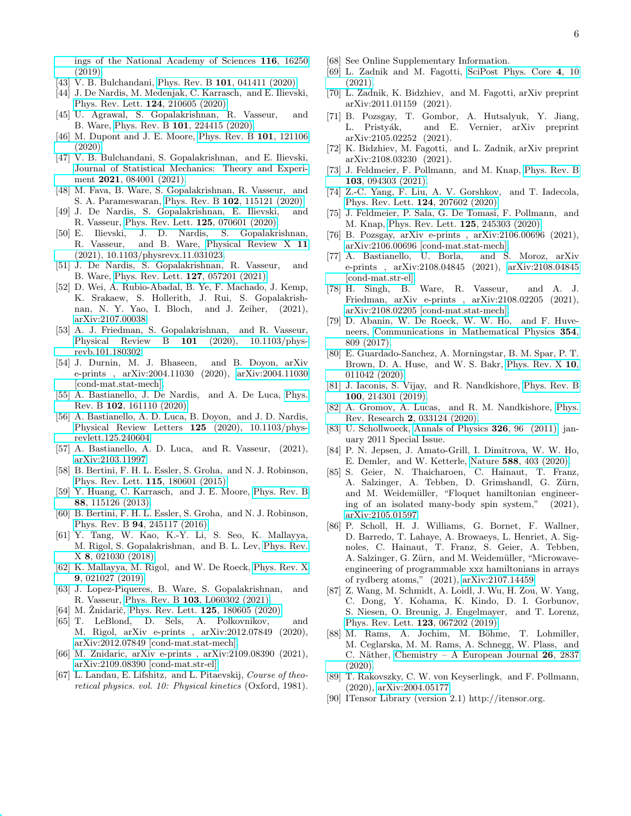[ings of the National Academy of Sciences](http://dx.doi.org/10.1073/pnas.1906914116) 116, 16250 [\(2019\).](http://dx.doi.org/10.1073/pnas.1906914116)

- [43] V. B. Bulchandani, Phys. Rev. B **101**[, 041411 \(2020\).](http://dx.doi.org/10.1103/PhysRevB.101.041411)
- [44] J. De Nardis, M. Medenjak, C. Karrasch, and E. Ilievski, [Phys. Rev. Lett.](http://dx.doi.org/10.1103/PhysRevLett.124.210605) 124, 210605 (2020).
- [45] U. Agrawal, S. Gopalakrishnan, R. Vasseur, and B. Ware, Phys. Rev. B 101[, 224415 \(2020\).](http://dx.doi.org/10.1103/PhysRevB.101.224415)
- [46] M. Dupont and J. E. Moore, [Phys. Rev. B](http://dx.doi.org/10.1103/PhysRevB.101.121106) 101, 121106  $(2020)$
- [47] V. B. Bulchandani, S. Gopalakrishnan, and E. Ilievski, [Journal of Statistical Mechanics: Theory and Experi-](http://dx.doi.org/10.1088/1742-5468/ac12c7)ment 2021[, 084001 \(2021\).](http://dx.doi.org/10.1088/1742-5468/ac12c7)
- [48] M. Fava, B. Ware, S. Gopalakrishnan, R. Vasseur, and S. A. Parameswaran, Phys. Rev. B 102[, 115121 \(2020\).](http://dx.doi.org/10.1103/PhysRevB.102.115121)
- [49] J. De Nardis, S. Gopalakrishnan, E. Ilievski, and R. Vasseur, [Phys. Rev. Lett.](http://dx.doi.org/10.1103/PhysRevLett.125.070601) 125, 070601 (2020).
- [50] E. Ilievski, J. D. Nardis, S. Gopalakrishnan, R. Vasseur, and B. Ware, [Physical Review X](http://dx.doi.org/10.1103/physrevx.11.031023) 11 [\(2021\), 10.1103/physrevx.11.031023.](http://dx.doi.org/10.1103/physrevx.11.031023)
- <span id="page-5-0"></span>[51] J. De Nardis, S. Gopalakrishnan, R. Vasseur, and B. Ware, [Phys. Rev. Lett.](http://dx.doi.org/10.1103/PhysRevLett.127.057201) 127, 057201 (2021).
- <span id="page-5-1"></span>[52] D. Wei, A. Rubio-Abadal, B. Ye, F. Machado, J. Kemp, K. Srakaew, S. Hollerith, J. Rui, S. Gopalakrishnan, N. Y. Yao, I. Bloch, and J. Zeiher, (2021), [arXiv:2107.00038.](http://arxiv.org/abs/arXiv:2107.00038)
- <span id="page-5-2"></span>[53] A. J. Friedman, S. Gopalakrishnan, and R. Vasseur, Physical Review B 101 [\(2020\), 10.1103/phys](http://dx.doi.org/10.1103/physrevb.101.180302)[revb.101.180302.](http://dx.doi.org/10.1103/physrevb.101.180302)
- <span id="page-5-4"></span>[54] J. Durnin, M. J. Bhaseen, and B. Doyon, arXiv e-prints , arXiv:2004.11030 (2020), [arXiv:2004.11030](http://arxiv.org/abs/2004.11030) [\[cond-mat.stat-mech\].](http://arxiv.org/abs/2004.11030)
- [55] A. Bastianello, J. De Nardis, and A. De Luca, [Phys.](http://dx.doi.org/10.1103/PhysRevB.102.161110) Rev. B 102[, 161110 \(2020\).](http://dx.doi.org/10.1103/PhysRevB.102.161110)
- <span id="page-5-5"></span>[56] A. Bastianello, A. D. Luca, B. Doyon, and J. D. Nardis, [Physical Review Letters](http://dx.doi.org/10.1103/physrevlett.125.240604) 125 (2020), 10.1103/phys[revlett.125.240604.](http://dx.doi.org/10.1103/physrevlett.125.240604)
- <span id="page-5-3"></span>[57] A. Bastianello, A. D. Luca, and R. Vasseur, (2021), [arXiv:2103.11997.](http://arxiv.org/abs/arXiv:2103.11997)
- [58] B. Bertini, F. H. L. Essler, S. Groha, and N. J. Robinson, [Phys. Rev. Lett.](http://dx.doi.org/10.1103/PhysRevLett.115.180601) 115, 180601 (2015).
- [59] Y. Huang, C. Karrasch, and J. E. Moore, [Phys. Rev. B](http://dx.doi.org/10.1103/PhysRevB.88.115126) 88[, 115126 \(2013\).](http://dx.doi.org/10.1103/PhysRevB.88.115126)
- [60] B. Bertini, F. H. L. Essler, S. Groha, and N. J. Robinson, Phys. Rev. B 94[, 245117 \(2016\).](http://dx.doi.org/10.1103/PhysRevB.94.245117)
- [61] Y. Tang, W. Kao, K.-Y. Li, S. Seo, K. Mallayya, M. Rigol, S. Gopalakrishnan, and B. L. Lev, [Phys. Rev.](http://dx.doi.org/10.1103/PhysRevX.8.021030) X 8[, 021030 \(2018\).](http://dx.doi.org/10.1103/PhysRevX.8.021030)
- [62] K. Mallayya, M. Rigol, and W. De Roeck, [Phys. Rev. X](http://dx.doi.org/10.1103/PhysRevX.9.021027) 9[, 021027 \(2019\).](http://dx.doi.org/10.1103/PhysRevX.9.021027)
- [63] J. Lopez-Piqueres, B. Ware, S. Gopalakrishnan, and R. Vasseur, Phys. Rev. B 103[, L060302 \(2021\).](http://dx.doi.org/10.1103/PhysRevB.103.L060302)
- [64] M. Žnidarič, [Phys. Rev. Lett.](http://dx.doi.org/10.1103/PhysRevLett.125.180605) **125**, 180605 (2020).
- [65] T. LeBlond, D. Sels, A. Polkovnikov, and M. Rigol, arXiv e-prints , arXiv:2012.07849 (2020), [arXiv:2012.07849 \[cond-mat.stat-mech\].](http://arxiv.org/abs/2012.07849)
- <span id="page-5-6"></span>[66] M. Znidaric, arXiv e-prints , arXiv:2109.08390 (2021), [arXiv:2109.08390 \[cond-mat.str-el\].](http://arxiv.org/abs/2109.08390)
- <span id="page-5-7"></span>[67] L. Landau, E. Lifshitz, and L. Pitaevskij, Course of theoretical physics. vol. 10: Physical kinetics (Oxford, 1981).
- <span id="page-5-8"></span>[68] See Online Supplementary Information.
- <span id="page-5-9"></span>[69] L. Zadnik and M. Fagotti, [SciPost Phys. Core](http://dx.doi.org/10.21468/SciPostPhysCore.4.2.010) 4, 10 [\(2021\).](http://dx.doi.org/10.21468/SciPostPhysCore.4.2.010)
- [70] L. Zadnik, K. Bidzhiev, and M. Fagotti, arXiv preprint arXiv:2011.01159 (2021).
- <span id="page-5-12"></span>[71] B. Pozsgay, T. Gombor, A. Hutsalyuk, Y. Jiang, L. Pristyák, and E. Vernier, arXiv preprint arXiv:2105.02252 (2021).
- <span id="page-5-10"></span>[72] K. Bidzhiev, M. Fagotti, and L. Zadnik, arXiv preprint arXiv:2108.03230 (2021).
- <span id="page-5-11"></span>[73] J. Feldmeier, F. Pollmann, and M. Knap, [Phys. Rev. B](http://dx.doi.org/10.1103/PhysRevB.103.094303) 103[, 094303 \(2021\).](http://dx.doi.org/10.1103/PhysRevB.103.094303)
- <span id="page-5-13"></span>[74] Z.-C. Yang, F. Liu, A. V. Gorshkov, and T. Iadecola, [Phys. Rev. Lett.](http://dx.doi.org/ 10.1103/PhysRevLett.124.207602) 124, 207602 (2020).
- <span id="page-5-16"></span>[75] J. Feldmeier, P. Sala, G. De Tomasi, F. Pollmann, and M. Knap, [Phys. Rev. Lett.](http://dx.doi.org/ 10.1103/PhysRevLett.125.245303) 125, 245303 (2020).
- [76] B. Pozsgay, arXiv e-prints , arXiv:2106.00696 (2021), [arXiv:2106.00696 \[cond-mat.stat-mech\].](http://arxiv.org/abs/2106.00696)
- <span id="page-5-20"></span>[77] A. Bastianello, U. Borla, and S. Moroz, arXiv e-prints , arXiv:2108.04845 (2021), [arXiv:2108.04845](http://arxiv.org/abs/2108.04845) [\[cond-mat.str-el\].](http://arxiv.org/abs/2108.04845)
- <span id="page-5-14"></span>[78] H. Singh, B. Ware, R. Vasseur, and A. J. Friedman, arXiv e-prints , arXiv:2108.02205 (2021), [arXiv:2108.02205 \[cond-mat.stat-mech\].](http://arxiv.org/abs/2108.02205)
- <span id="page-5-15"></span>[79] D. Abanin, W. De Roeck, W. W. Ho, and F. Huveneers, [Communications in Mathematical Physics](http://dx.doi.org/ 10.1007/s00220-017-2930-x) 354, [809 \(2017\).](http://dx.doi.org/ 10.1007/s00220-017-2930-x)
- <span id="page-5-17"></span>[80] E. Guardado-Sanchez, A. Morningstar, B. M. Spar, P. T. Brown, D. A. Huse, and W. S. Bakr, [Phys. Rev. X](http://dx.doi.org/10.1103/PhysRevX.10.011042) 10, [011042 \(2020\).](http://dx.doi.org/10.1103/PhysRevX.10.011042)
- [81] J. Iaconis, S. Vijay, and R. Nandkishore, [Phys. Rev. B](http://dx.doi.org/10.1103/PhysRevB.100.214301) 100[, 214301 \(2019\).](http://dx.doi.org/10.1103/PhysRevB.100.214301)
- <span id="page-5-18"></span>[82] A. Gromov, A. Lucas, and R. M. Nandkishore, [Phys.](http://dx.doi.org/10.1103/PhysRevResearch.2.033124) Rev. Research 2[, 033124 \(2020\).](http://dx.doi.org/10.1103/PhysRevResearch.2.033124)
- <span id="page-5-19"></span>[83] U. Schollwoeck, [Annals of Physics](http://dx.doi.org/ http://dx.doi.org/10.1016/j.aop.2010.09.012) 326, 96 (2011), january 2011 Special Issue.
- <span id="page-5-21"></span>[84] P. N. Jepsen, J. Amato-Grill, I. Dimitrova, W. W. Ho, E. Demler, and W. Ketterle, Nature 588[, 403 \(2020\).](http://dx.doi.org/ 10.1038/s41586-020-3033-y)
- [85] S. Geier, N. Thaicharoen, C. Hainaut, T. Franz, A. Salzinger, A. Tebben, D. Grimshandl, G. Zürn, and M. Weidemüller, "Floquet hamiltonian engineering of an isolated many-body spin system," (2021), [arXiv:2105.01597.](http://arxiv.org/abs/arXiv:2105.01597)
- <span id="page-5-22"></span>[86] P. Scholl, H. J. Williams, G. Bornet, F. Wallner, D. Barredo, T. Lahaye, A. Browaeys, L. Henriet, A. Signoles, C. Hainaut, T. Franz, S. Geier, A. Tebben, A. Salzinger, G. Zürn, and M. Weidemüller, "Microwaveengineering of programmable xxz hamiltonians in arrays of rydberg atoms," (2021), [arXiv:2107.14459.](http://arxiv.org/abs/arXiv:2107.14459)
- <span id="page-5-23"></span>[87] Z. Wang, M. Schmidt, A. Loidl, J. Wu, H. Zou, W. Yang, C. Dong, Y. Kohama, K. Kindo, D. I. Gorbunov, S. Niesen, O. Breunig, J. Engelmayer, and T. Lorenz, [Phys. Rev. Lett.](http://dx.doi.org/ 10.1103/PhysRevLett.123.067202) 123, 067202 (2019).
- <span id="page-5-24"></span>[88] M. Rams, A. Jochim, M. Böhme, T. Lohmiller, M. Ceglarska, M. M. Rams, A. Schnegg, W. Plass, and C. Näther, [Chemistry – A European Journal](http://dx.doi.org/10.1002/chem.201903924)  $26$ , 2837  $(2020)$ .
- <span id="page-5-25"></span>[89] T. Rakovszky, C. W. von Keyserlingk, and F. Pollmann, (2020), [arXiv:2004.05177.](http://arxiv.org/abs/arXiv:2004.05177)
- <span id="page-5-26"></span>[90] ITensor Library (version 2.1) http://itensor.org.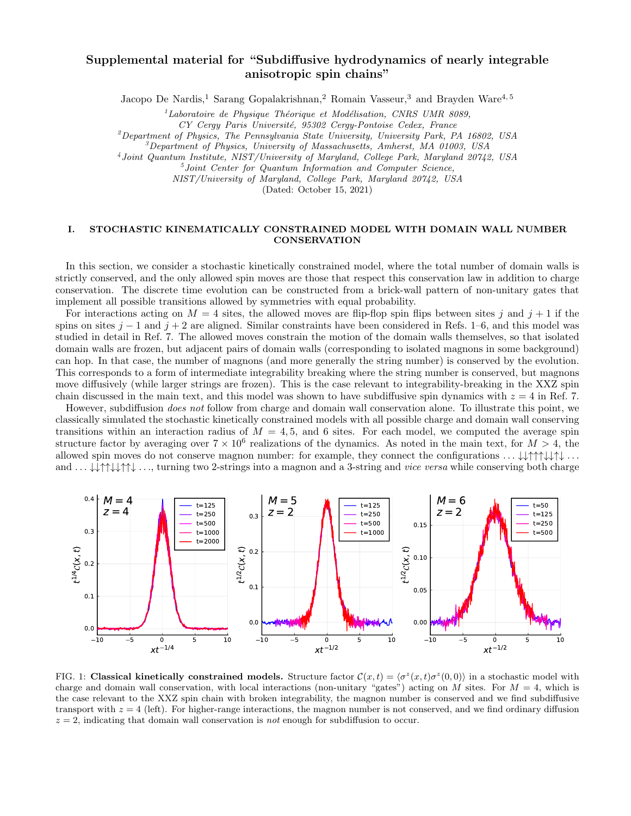# Supplemental material for "Subdiffusive hydrodynamics of nearly integrable anisotropic spin chains"

Jacopo De Nardis,<sup>1</sup> Sarang Gopalakrishnan,<sup>2</sup> Romain Vasseur,<sup>3</sup> and Brayden Ware<sup>4,5</sup>

 $1$ Laboratoire de Physique Théorique et Modélisation, CNRS UMR 8089,

CY Cergy Paris Université, 95302 Cergy-Pontoise Cedex, France

 $^{2}$ Department of Physics, The Pennsylvania State University, University Park, PA 16802, USA

 $3$ Department of Physics, University of Massachusetts, Amherst, MA 01003, USA

4 Joint Quantum Institute, NIST/University of Maryland, College Park, Maryland 20742, USA

5 Joint Center for Quantum Information and Computer Science,

NIST/University of Maryland, College Park, Maryland 20742, USA

(Dated: October 15, 2021)

#### I. STOCHASTIC KINEMATICALLY CONSTRAINED MODEL WITH DOMAIN WALL NUMBER **CONSERVATION**

In this section, we consider a stochastic kinetically constrained model, where the total number of domain walls is strictly conserved, and the only allowed spin moves are those that respect this conservation law in addition to charge conservation. The discrete time evolution can be constructed from a brick-wall pattern of non-unitary gates that implement all possible transitions allowed by symmetries with equal probability.

For interactions acting on  $M = 4$  sites, the allowed moves are flip-flop spin flips between sites j and  $j + 1$  if the spins on sites  $j - 1$  and  $j + 2$  are aligned. Similar constraints have been considered in Refs. 1–6, and this model was studied in detail in Ref. 7. The allowed moves constrain the motion of the domain walls themselves, so that isolated domain walls are frozen, but adjacent pairs of domain walls (corresponding to isolated magnons in some background) can hop. In that case, the number of magnons (and more generally the string number) is conserved by the evolution. This corresponds to a form of intermediate integrability breaking where the string number is conserved, but magnons move diffusively (while larger strings are frozen). This is the case relevant to integrability-breaking in the XXZ spin chain discussed in the main text, and this model was shown to have subdiffusive spin dynamics with  $z = 4$  in Ref. 7.

However, subdiffusion does not follow from charge and domain wall conservation alone. To illustrate this point, we classically simulated the stochastic kinetically constrained models with all possible charge and domain wall conserving transitions within an interaction radius of  $M = 4, 5$ , and 6 sites. For each model, we computed the average spin structure factor by averaging over  $7 \times 10^6$  realizations of the dynamics. As noted in the main text, for  $M > 4$ , the allowed spin moves do not conserve magnon number: for example, they connect the configurations  $\dots \downarrow \downarrow \uparrow \uparrow \uparrow \downarrow \downarrow \uparrow \dots$ and . . . ↓↓↑↑↓↓↑↑↓ . . ., turning two 2-strings into a magnon and a 3-string and vice versa while conserving both charge



FIG. 1: Classical kinetically constrained models. Structure factor  $\mathcal{C}(x,t) = \langle \sigma^z(x,t) \sigma^z(0,0) \rangle$  in a stochastic model with charge and domain wall conservation, with local interactions (non-unitary "gates") acting on M sites. For  $M = 4$ , which is the case relevant to the XXZ spin chain with broken integrability, the magnon number is conserved and we find subdiffusive transport with  $z = 4$  (left). For higher-range interactions, the magnon number is not conserved, and we find ordinary diffusion  $z = 2$ , indicating that domain wall conservation is not enough for subdiffusion to occur.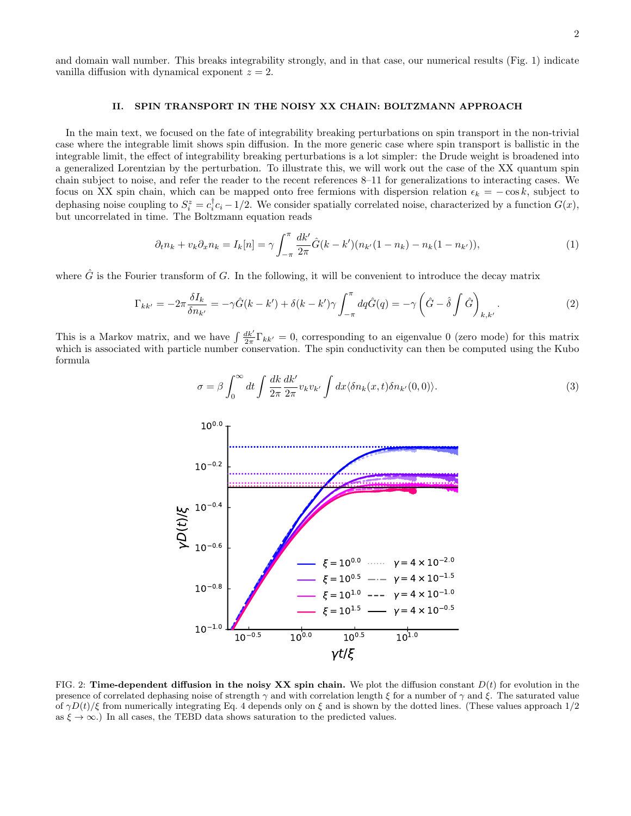and domain wall number. This breaks integrability strongly, and in that case, our numerical results (Fig. 1) indicate vanilla diffusion with dynamical exponent  $z = 2$ .

#### II. SPIN TRANSPORT IN THE NOISY XX CHAIN: BOLTZMANN APPROACH

In the main text, we focused on the fate of integrability breaking perturbations on spin transport in the non-trivial case where the integrable limit shows spin diffusion. In the more generic case where spin transport is ballistic in the integrable limit, the effect of integrability breaking perturbations is a lot simpler: the Drude weight is broadened into a generalized Lorentzian by the perturbation. To illustrate this, we will work out the case of the XX quantum spin chain subject to noise, and refer the reader to the recent references 8–11 for generalizations to interacting cases. We focus on XX spin chain, which can be mapped onto free fermions with dispersion relation  $\epsilon_k = -\cos k$ , subject to dephasing noise coupling to  $S_i^z = c_i^{\dagger} c_i - 1/2$ . We consider spatially correlated noise, characterized by a function  $G(x)$ , but uncorrelated in time. The Boltzmann equation reads

$$
\partial_t n_k + v_k \partial_x n_k = I_k[n] = \gamma \int_{-\pi}^{\pi} \frac{dk'}{2\pi} \hat{G}(k - k') (n_{k'}(1 - n_k) - n_k(1 - n_{k'})), \tag{1}
$$

where  $\hat{G}$  is the Fourier transform of G. In the following, it will be convenient to introduce the decay matrix

$$
\Gamma_{kk'} = -2\pi \frac{\delta I_k}{\delta n_{k'}} = -\gamma \hat{G}(k - k') + \delta(k - k')\gamma \int_{-\pi}^{\pi} dq \hat{G}(q) = -\gamma \left(\hat{G} - \hat{\delta} \int \hat{G}\right)_{k, k'}.
$$
\n(2)

This is a Markov matrix, and we have  $\int \frac{dk'}{2\pi} \Gamma_{kk'} = 0$ , corresponding to an eigenvalue 0 (zero mode) for this matrix which is associated with particle number conservation. The spin conductivity can then be computed using the Kubo formula

$$
\sigma = \beta \int_0^\infty dt \int \frac{dk}{2\pi} \frac{dk'}{2\pi} v_k v_{k'} \int dx \langle \delta n_k(x, t) \delta n_{k'}(0, 0) \rangle.
$$
 (3)



FIG. 2: Time-dependent diffusion in the noisy XX spin chain. We plot the diffusion constant  $D(t)$  for evolution in the presence of correlated dephasing noise of strength  $\gamma$  and with correlation length  $\xi$  for a number of  $\gamma$  and  $\xi$ . The saturated value of  $\gamma D(t)/\xi$  from numerically integrating Eq. 4 depends only on  $\xi$  and is shown by the dotted lines. (These values approach 1/2 as  $\xi \to \infty$ .) In all cases, the TEBD data shows saturation to the predicted values.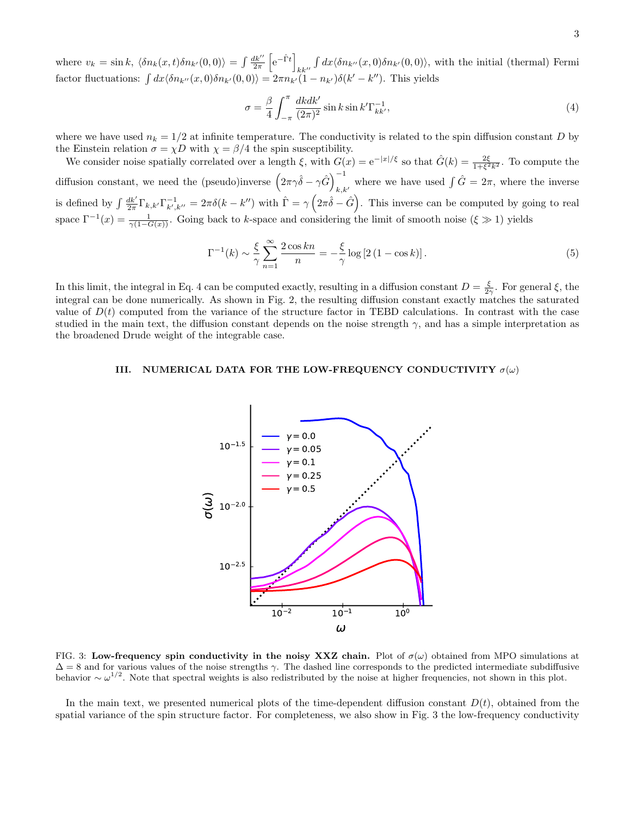where  $v_k = \sin k, \langle \delta n_k(x, t) \delta n_{k'}(0, 0) \rangle = \int \frac{dk''}{2\pi}$  $\left[e^{-\hat{\Gamma}t}\right]$  $kk^{\prime\prime}$  $\int dx \langle \delta n_{k^{\prime\prime}}(x,0)\delta n_{k^{\prime}}(0,0)\rangle$ , with the initial (thermal) Fermi factor fluctuations:  $\int dx \langle \delta n_{k'}(x,0) \delta n_{k'}(0,0) \rangle = 2\pi n_{k'}(1 - n_{k'}) \delta(k'-k'')$ . This yields

$$
\sigma = \frac{\beta}{4} \int_{-\pi}^{\pi} \frac{dkdk'}{(2\pi)^2} \sin k \sin k' \Gamma_{kk'}^{-1},\tag{4}
$$

where we have used  $n_k = 1/2$  at infinite temperature. The conductivity is related to the spin diffusion constant D by the Einstein relation  $\sigma = \chi D$  with  $\chi = \beta/4$  the spin susceptibility.

We consider noise spatially correlated over a length  $\xi$ , with  $G(x) = e^{-|x|/\xi}$  so that  $\hat{G}(k) = \frac{2\xi}{1+\xi^2k^2}$ . To compute the diffusion constant, we need the (pseudo)inverse  $(2\pi\gamma\hat{\delta} - \gamma\hat{G})_{i,k}^{-1}$ where we have used  $\int \hat{G} = 2\pi$ , where the inverse is defined by  $\int \frac{dk'}{2\pi} \Gamma_{k,k'} \Gamma_{k',k''}^{-1} = 2\pi \delta(k-k'')$  with  $\hat{\Gamma} = \gamma \left(2\pi \hat{\delta} - \hat{G}\right)$ . This inverse can be computed by going to real space  $\Gamma^{-1}(x) = \frac{1}{\gamma(1-G(x))}$ . Going back to k-space and considering the limit of smooth noise  $(\xi \gg 1)$  yields

$$
\Gamma^{-1}(k) \sim \frac{\xi}{\gamma} \sum_{n=1}^{\infty} \frac{2\cos kn}{n} = -\frac{\xi}{\gamma} \log \left[ 2\left(1 - \cos k\right) \right].\tag{5}
$$

In this limit, the integral in Eq. 4 can be computed exactly, resulting in a diffusion constant  $D = \frac{\xi}{2\gamma}$ . For general  $\xi$ , the integral can be done numerically. As shown in Fig. 2, the resulting diffusion constant exactly matches the saturated value of  $D(t)$  computed from the variance of the structure factor in TEBD calculations. In contrast with the case studied in the main text, the diffusion constant depends on the noise strength  $\gamma$ , and has a simple interpretation as the broadened Drude weight of the integrable case.

### III. NUMERICAL DATA FOR THE LOW-FREQUENCY CONDUCTIVITY  $\sigma(\omega)$



FIG. 3: Low-frequency spin conductivity in the noisy XXZ chain. Plot of  $\sigma(\omega)$  obtained from MPO simulations at  $\Delta = 8$  and for various values of the noise strengths  $\gamma$ . The dashed line corresponds to the predicted intermediate subdiffusive behavior  $\sim \omega^{1/2}$ . Note that spectral weights is also redistributed by the noise at higher frequencies, not shown in this plot.

In the main text, we presented numerical plots of the time-dependent diffusion constant  $D(t)$ , obtained from the spatial variance of the spin structure factor. For completeness, we also show in Fig. 3 the low-frequency conductivity